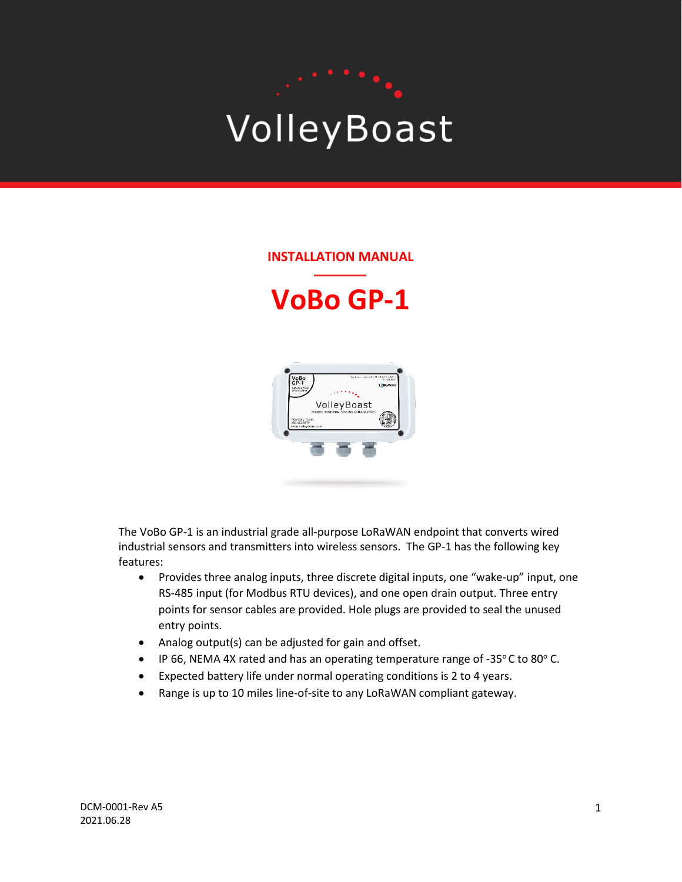# VolleyBoast

#### **INSTALLATION MANUAL**

## **VoBo GP-1**



The VoBo GP-1 is an industrial grade all-purpose LoRaWAN endpoint that converts wired industrial sensors and transmitters into wireless sensors. The GP-1 has the following key features:

- Provides three analog inputs, three discrete digital inputs, one "wake-up" input, one RS-485 input (for Modbus RTU devices), and one open drain output. Three entry points for sensor cables are provided. Hole plugs are provided to seal the unused entry points.
- Analog output(s) can be adjusted for gain and offset.
- IP 66, NEMA 4X rated and has an operating temperature range of -35 $\degree$ C to 80 $\degree$ C.
- Expected battery life under normal operating conditions is 2 to 4 years.
- Range is up to 10 miles line-of-site to any LoRaWAN compliant gateway.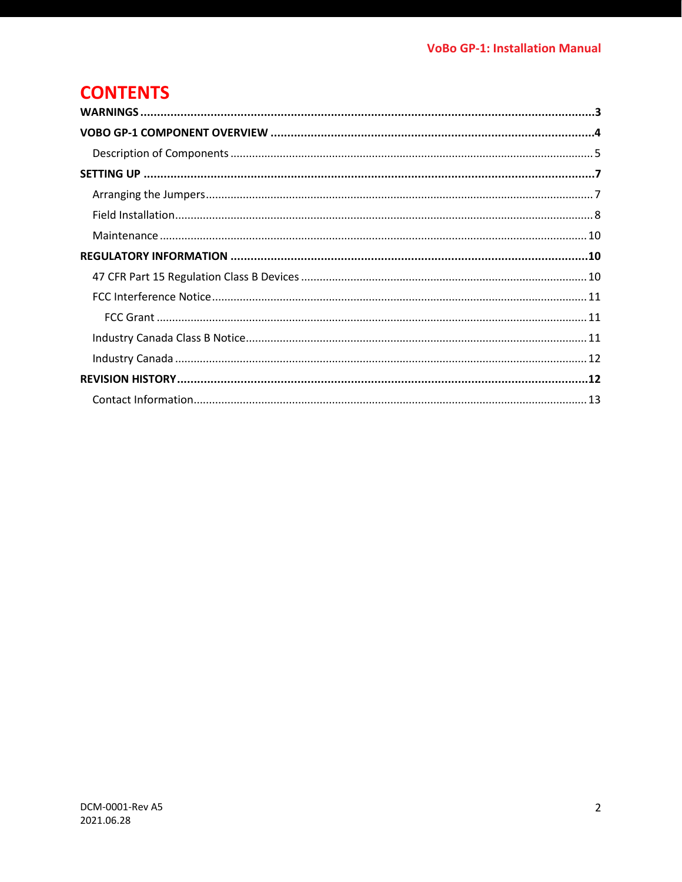## **CONTENTS**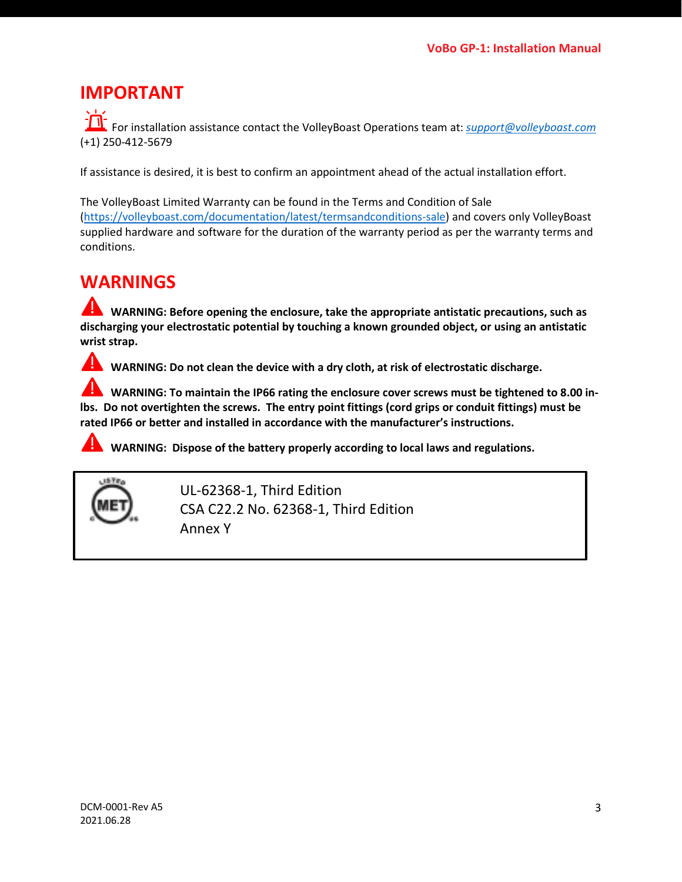## **IMPORTANT**

For installation assistance contact the VolleyBoast Operations team at: *[support@volleyboast.com](mailto:operations@volleyboast.com)* (+1) 250-412-5679

If assistance is desired, it is best to confirm an appointment ahead of the actual installation effort.

The VolleyBoast Limited Warranty can be found in the Terms and Condition of Sale [\(https://volleyboast.com/documentation/latest/termsandconditions-sale\)](https://volleyboast.com/documentation/latest/termsandconditions-sale) and covers only VolleyBoast supplied hardware and software for the duration of the warranty period as per the warranty terms and conditions.

## <span id="page-2-0"></span>**WARNINGS**

**WARNING: Before opening the enclosure, take the appropriate antistatic precautions, such as discharging your electrostatic potential by touching a known grounded object, or using an antistatic wrist strap.**

**WARNING: Do not clean the device with a dry cloth, at risk of electrostatic discharge.** 

**WARNING: To maintain the IP66 rating the enclosure cover screws must be tightened to 8.00 inlbs. Do not overtighten the screws. The entry point fittings (cord grips or conduit fittings) must be rated IP66 or better and installed in accordance with the manufacturer's instructions.**

**WARNING: Dispose of the battery properly according to local laws and regulations.**



UL-62368-1, Third Edition CSA C22.2 No. 62368-1, Third Edition Annex Y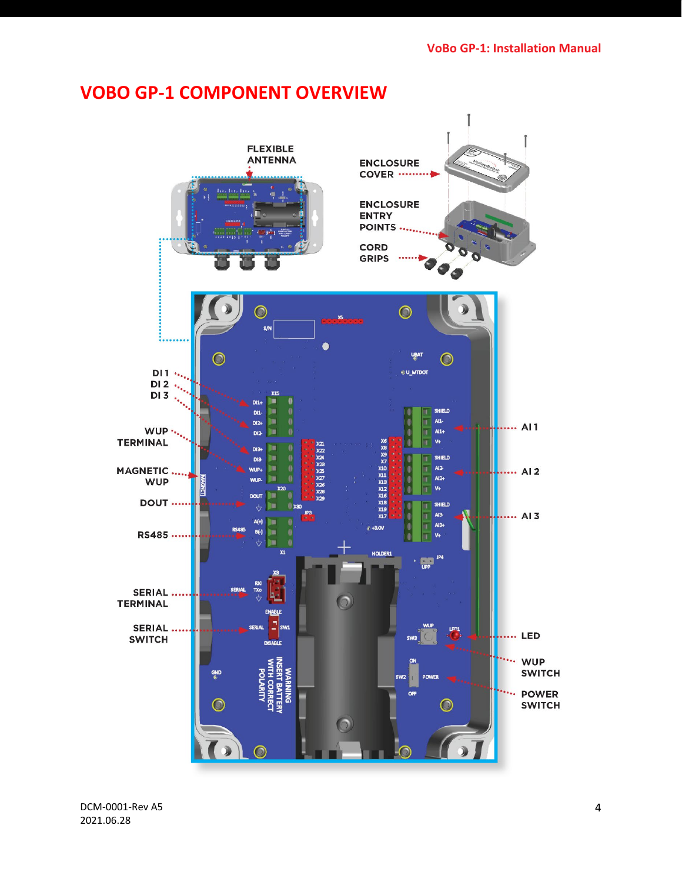## <span id="page-3-0"></span>**VOBO GP-1 COMPONENT OVERVIEW**

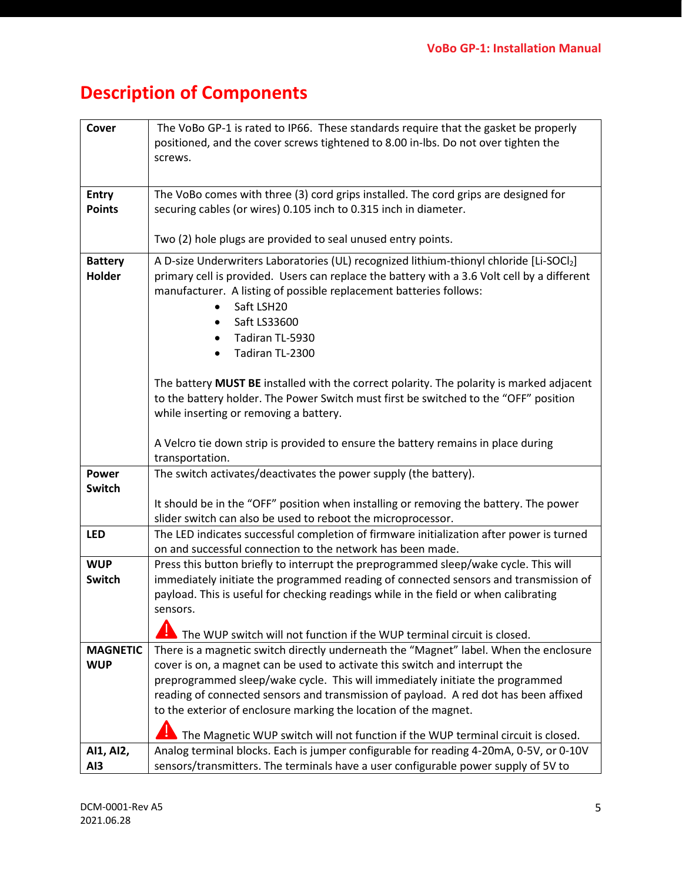## <span id="page-4-0"></span>**Description of Components**

| Cover                    | The VoBo GP-1 is rated to IP66. These standards require that the gasket be properly<br>positioned, and the cover screws tightened to 8.00 in-lbs. Do not over tighten the<br>screws.                                                                                                                                            |
|--------------------------|---------------------------------------------------------------------------------------------------------------------------------------------------------------------------------------------------------------------------------------------------------------------------------------------------------------------------------|
| <b>Entry</b>             | The VoBo comes with three (3) cord grips installed. The cord grips are designed for                                                                                                                                                                                                                                             |
| <b>Points</b>            | securing cables (or wires) 0.105 inch to 0.315 inch in diameter.                                                                                                                                                                                                                                                                |
|                          | Two (2) hole plugs are provided to seal unused entry points.                                                                                                                                                                                                                                                                    |
| <b>Battery</b><br>Holder | A D-size Underwriters Laboratories (UL) recognized lithium-thionyl chloride [Li-SOCl2]<br>primary cell is provided. Users can replace the battery with a 3.6 Volt cell by a different<br>manufacturer. A listing of possible replacement batteries follows:<br>Saft LSH20<br>Saft LS33600<br>Tadiran TL-5930<br>Tadiran TL-2300 |
|                          | The battery MUST BE installed with the correct polarity. The polarity is marked adjacent<br>to the battery holder. The Power Switch must first be switched to the "OFF" position<br>while inserting or removing a battery.<br>A Velcro tie down strip is provided to ensure the battery remains in place during                 |
|                          | transportation.                                                                                                                                                                                                                                                                                                                 |
| Power<br>Switch          | The switch activates/deactivates the power supply (the battery).                                                                                                                                                                                                                                                                |
|                          | It should be in the "OFF" position when installing or removing the battery. The power<br>slider switch can also be used to reboot the microprocessor.                                                                                                                                                                           |
| <b>LED</b>               | The LED indicates successful completion of firmware initialization after power is turned<br>on and successful connection to the network has been made.                                                                                                                                                                          |
| <b>WUP</b>               | Press this button briefly to interrupt the preprogrammed sleep/wake cycle. This will                                                                                                                                                                                                                                            |
| <b>Switch</b>            | immediately initiate the programmed reading of connected sensors and transmission of                                                                                                                                                                                                                                            |
|                          | payload. This is useful for checking readings while in the field or when calibrating<br>sensors.                                                                                                                                                                                                                                |
|                          |                                                                                                                                                                                                                                                                                                                                 |
| <b>MAGNETIC</b>          | The WUP switch will not function if the WUP terminal circuit is closed.<br>There is a magnetic switch directly underneath the "Magnet" label. When the enclosure                                                                                                                                                                |
| <b>WUP</b>               | cover is on, a magnet can be used to activate this switch and interrupt the                                                                                                                                                                                                                                                     |
|                          | preprogrammed sleep/wake cycle. This will immediately initiate the programmed                                                                                                                                                                                                                                                   |
|                          | reading of connected sensors and transmission of payload. A red dot has been affixed                                                                                                                                                                                                                                            |
|                          | to the exterior of enclosure marking the location of the magnet.                                                                                                                                                                                                                                                                |
|                          | The Magnetic WUP switch will not function if the WUP terminal circuit is closed.                                                                                                                                                                                                                                                |
| AI1, AI2,                | Analog terminal blocks. Each is jumper configurable for reading 4-20mA, 0-5V, or 0-10V                                                                                                                                                                                                                                          |
| AI <sub>3</sub>          | sensors/transmitters. The terminals have a user configurable power supply of 5V to                                                                                                                                                                                                                                              |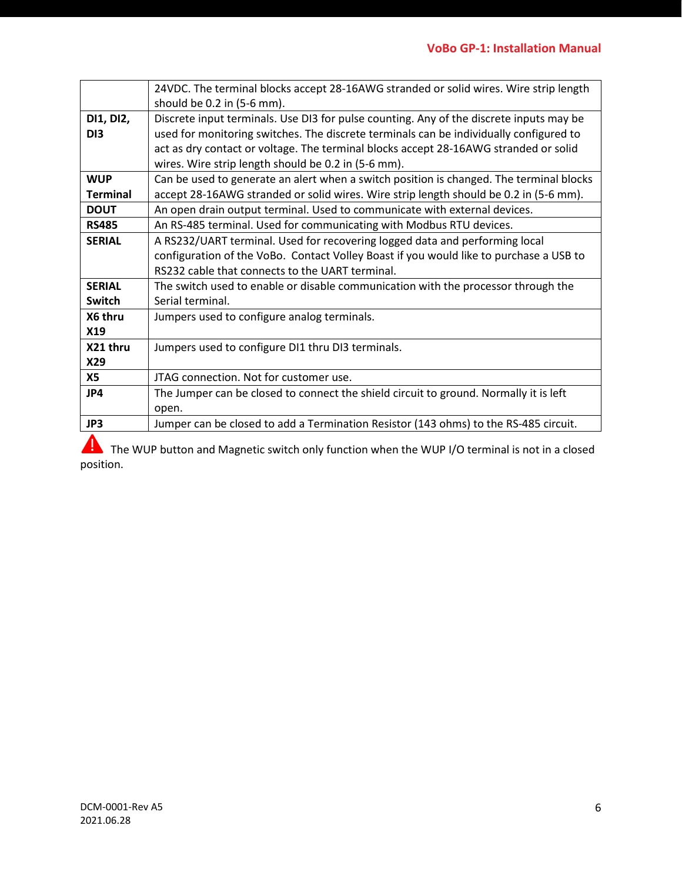|                              | 24VDC. The terminal blocks accept 28-16AWG stranded or solid wires. Wire strip length<br>should be 0.2 in (5-6 mm).                                                                                                                                                                                                              |
|------------------------------|----------------------------------------------------------------------------------------------------------------------------------------------------------------------------------------------------------------------------------------------------------------------------------------------------------------------------------|
| DI1, DI2,<br>D <sub>13</sub> | Discrete input terminals. Use DI3 for pulse counting. Any of the discrete inputs may be<br>used for monitoring switches. The discrete terminals can be individually configured to<br>act as dry contact or voltage. The terminal blocks accept 28-16AWG stranded or solid<br>wires. Wire strip length should be 0.2 in (5-6 mm). |
| <b>WUP</b>                   | Can be used to generate an alert when a switch position is changed. The terminal blocks                                                                                                                                                                                                                                          |
| <b>Terminal</b>              | accept 28-16AWG stranded or solid wires. Wire strip length should be 0.2 in (5-6 mm).                                                                                                                                                                                                                                            |
| <b>DOUT</b>                  | An open drain output terminal. Used to communicate with external devices.                                                                                                                                                                                                                                                        |
| <b>RS485</b>                 | An RS-485 terminal. Used for communicating with Modbus RTU devices.                                                                                                                                                                                                                                                              |
| <b>SERIAL</b>                | A RS232/UART terminal. Used for recovering logged data and performing local                                                                                                                                                                                                                                                      |
|                              | configuration of the VoBo. Contact Volley Boast if you would like to purchase a USB to                                                                                                                                                                                                                                           |
|                              | RS232 cable that connects to the UART terminal.                                                                                                                                                                                                                                                                                  |
| <b>SERIAL</b>                | The switch used to enable or disable communication with the processor through the                                                                                                                                                                                                                                                |
| Switch                       | Serial terminal.                                                                                                                                                                                                                                                                                                                 |
| X6 thru                      | Jumpers used to configure analog terminals.                                                                                                                                                                                                                                                                                      |
| X19                          |                                                                                                                                                                                                                                                                                                                                  |
| X21 thru                     | Jumpers used to configure DI1 thru DI3 terminals.                                                                                                                                                                                                                                                                                |
| X29                          |                                                                                                                                                                                                                                                                                                                                  |
| <b>X5</b>                    | JTAG connection. Not for customer use.                                                                                                                                                                                                                                                                                           |
| JP4                          | The Jumper can be closed to connect the shield circuit to ground. Normally it is left                                                                                                                                                                                                                                            |
|                              | open.                                                                                                                                                                                                                                                                                                                            |
| JP3                          | Jumper can be closed to add a Termination Resistor (143 ohms) to the RS-485 circuit.                                                                                                                                                                                                                                             |
| A                            |                                                                                                                                                                                                                                                                                                                                  |

The WUP button and Magnetic switch only function when the WUP I/O terminal is not in a closed position.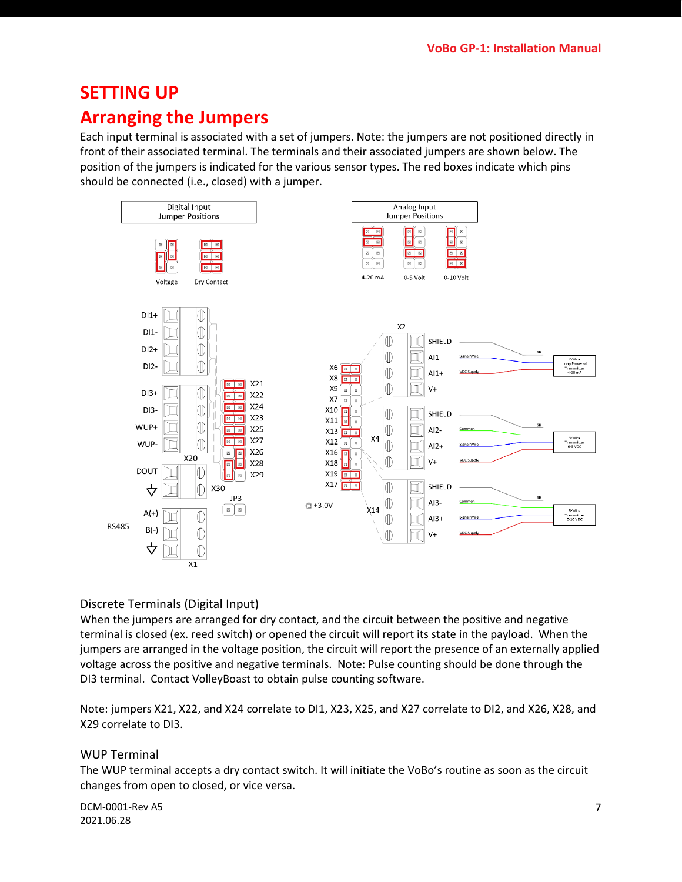## <span id="page-6-0"></span>**SETTING UP**

## <span id="page-6-1"></span>**Arranging the Jumpers**

Each input terminal is associated with a set of jumpers. Note: the jumpers are not positioned directly in front of their associated terminal. The terminals and their associated jumpers are shown below. The position of the jumpers is indicated for the various sensor types. The red boxes indicate which pins should be connected (i.e., closed) with a jumper.



#### Discrete Terminals (Digital Input)

When the jumpers are arranged for dry contact, and the circuit between the positive and negative terminal is closed (ex. reed switch) or opened the circuit will report its state in the payload. When the jumpers are arranged in the voltage position, the circuit will report the presence of an externally applied voltage across the positive and negative terminals. Note: Pulse counting should be done through the DI3 terminal. Contact VolleyBoast to obtain pulse counting software.

Note: jumpers X21, X22, and X24 correlate to DI1, X23, X25, and X27 correlate to DI2, and X26, X28, and X29 correlate to DI3.

#### WUP Terminal

The WUP terminal accepts a dry contact switch. It will initiate the VoBo's routine as soon as the circuit changes from open to closed, or vice versa.

DCM-0001-Rev A5 2021.06.28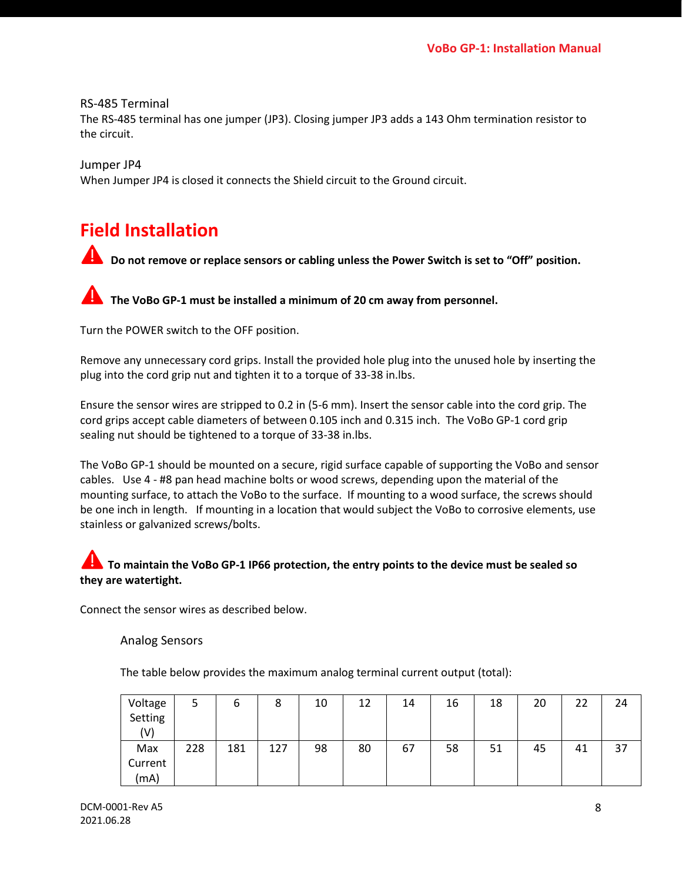RS-485 Terminal The RS-485 terminal has one jumper (JP3). Closing jumper JP3 adds a 143 Ohm termination resistor to the circuit.

Jumper JP4 When Jumper JP4 is closed it connects the Shield circuit to the Ground circuit.

## <span id="page-7-0"></span>**Field Installation**

**1** Do not remove or replace sensors or cabling unless the Power Switch is set to "Off" position.

**The VoBo GP-1 must be installed a minimum of 20 cm away from personnel.**

Turn the POWER switch to the OFF position.

Remove any unnecessary cord grips. Install the provided hole plug into the unused hole by inserting the plug into the cord grip nut and tighten it to a torque of 33-38 in.lbs.

Ensure the sensor wires are stripped to 0.2 in (5-6 mm). Insert the sensor cable into the cord grip. The cord grips accept cable diameters of between 0.105 inch and 0.315 inch. The VoBo GP-1 cord grip sealing nut should be tightened to a torque of 33-38 in.lbs.

The VoBo GP-1 should be mounted on a secure, rigid surface capable of supporting the VoBo and sensor cables. Use 4 - #8 pan head machine bolts or wood screws, depending upon the material of the mounting surface, to attach the VoBo to the surface. If mounting to a wood surface, the screws should be one inch in length. If mounting in a location that would subject the VoBo to corrosive elements, use stainless or galvanized screws/bolts.

#### **To maintain the VoBo GP-1 IP66 protection, the entry points to the device must be sealed so they are watertight.**

Connect the sensor wires as described below.

Analog Sensors

The table below provides the maximum analog terminal current output (total):

| Voltage<br>Setting | ٮ   | ь   | Õ   | 10 | 12 | 14 | 16 | 18 | 20 | 22 | 24 |
|--------------------|-----|-----|-----|----|----|----|----|----|----|----|----|
| (V)                |     |     |     |    |    |    |    |    |    |    |    |
| Max                | 228 | 181 | 127 | 98 | 80 | 67 | 58 | 51 | 45 | 41 | 37 |
| Current            |     |     |     |    |    |    |    |    |    |    |    |
| (mA)               |     |     |     |    |    |    |    |    |    |    |    |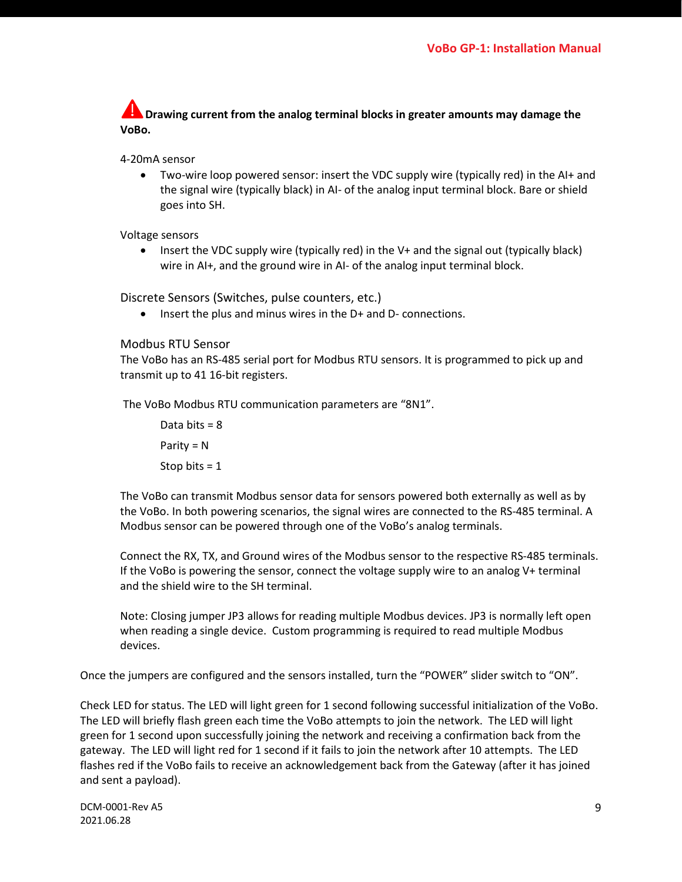**Drawing current from the analog terminal blocks in greater amounts may damage the VoBo.**

4-20mA sensor

• Two-wire loop powered sensor: insert the VDC supply wire (typically red) in the AI+ and the signal wire (typically black) in AI- of the analog input terminal block. Bare or shield goes into SH.

Voltage sensors

• Insert the VDC supply wire (typically red) in the V+ and the signal out (typically black) wire in AI+, and the ground wire in AI- of the analog input terminal block.

Discrete Sensors (Switches, pulse counters, etc.)

• Insert the plus and minus wires in the D+ and D- connections.

#### Modbus RTU Sensor

The VoBo has an RS-485 serial port for Modbus RTU sensors. It is programmed to pick up and transmit up to 41 16-bit registers.

The VoBo Modbus RTU communication parameters are "8N1".

Data bits = 8 Parity = N Stop bits = 1

The VoBo can transmit Modbus sensor data for sensors powered both externally as well as by the VoBo. In both powering scenarios, the signal wires are connected to the RS-485 terminal. A Modbus sensor can be powered through one of the VoBo's analog terminals.

Connect the RX, TX, and Ground wires of the Modbus sensor to the respective RS-485 terminals. If the VoBo is powering the sensor, connect the voltage supply wire to an analog V+ terminal and the shield wire to the SH terminal.

Note: Closing jumper JP3 allows for reading multiple Modbus devices. JP3 is normally left open when reading a single device. Custom programming is required to read multiple Modbus devices.

Once the jumpers are configured and the sensors installed, turn the "POWER" slider switch to "ON".

Check LED for status. The LED will light green for 1 second following successful initialization of the VoBo. The LED will briefly flash green each time the VoBo attempts to join the network. The LED will light green for 1 second upon successfully joining the network and receiving a confirmation back from the gateway. The LED will light red for 1 second if it fails to join the network after 10 attempts. The LED flashes red if the VoBo fails to receive an acknowledgement back from the Gateway (after it has joined and sent a payload).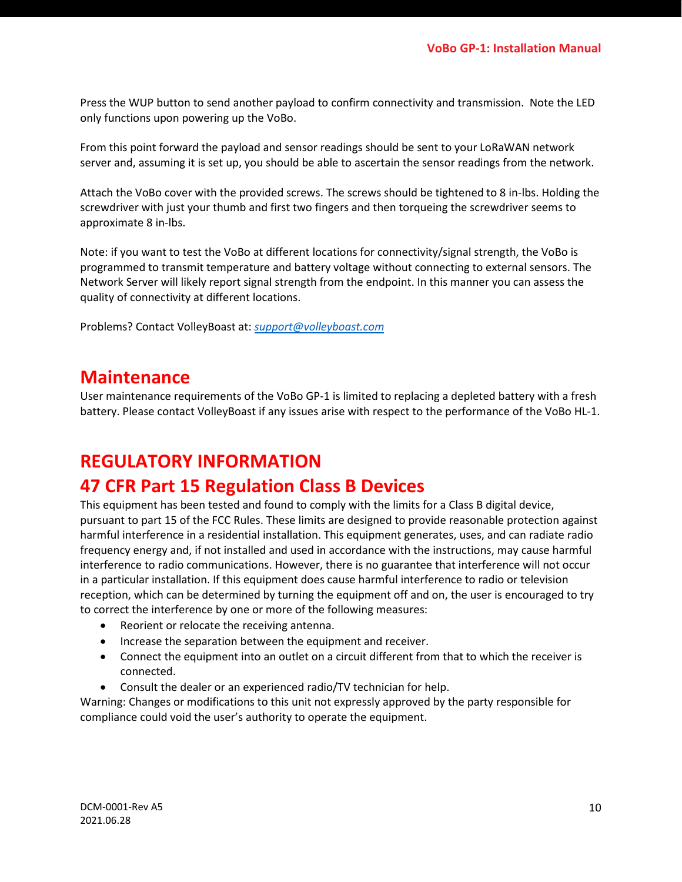Press the WUP button to send another payload to confirm connectivity and transmission. Note the LED only functions upon powering up the VoBo.

From this point forward the payload and sensor readings should be sent to your LoRaWAN network server and, assuming it is set up, you should be able to ascertain the sensor readings from the network.

Attach the VoBo cover with the provided screws. The screws should be tightened to 8 in-lbs. Holding the screwdriver with just your thumb and first two fingers and then torqueing the screwdriver seems to approximate 8 in-lbs.

Note: if you want to test the VoBo at different locations for connectivity/signal strength, the VoBo is programmed to transmit temperature and battery voltage without connecting to external sensors. The Network Server will likely report signal strength from the endpoint. In this manner you can assess the quality of connectivity at different locations.

Problems? Contact VolleyBoast at: *[support@volleyboast.com](mailto:support@volleyboast.com)*

#### <span id="page-9-0"></span>**Maintenance**

User maintenance requirements of the VoBo GP-1 is limited to replacing a depleted battery with a fresh battery. Please contact VolleyBoast if any issues arise with respect to the performance of the VoBo HL-1.

#### <span id="page-9-1"></span>**REGULATORY INFORMATION**

### <span id="page-9-2"></span>**47 CFR Part 15 Regulation Class B Devices**

This equipment has been tested and found to comply with the limits for a Class B digital device, pursuant to part 15 of the FCC Rules. These limits are designed to provide reasonable protection against harmful interference in a residential installation. This equipment generates, uses, and can radiate radio frequency energy and, if not installed and used in accordance with the instructions, may cause harmful interference to radio communications. However, there is no guarantee that interference will not occur in a particular installation. If this equipment does cause harmful interference to radio or television reception, which can be determined by turning the equipment off and on, the user is encouraged to try to correct the interference by one or more of the following measures:

- Reorient or relocate the receiving antenna.
- Increase the separation between the equipment and receiver.
- Connect the equipment into an outlet on a circuit different from that to which the receiver is connected.
- Consult the dealer or an experienced radio/TV technician for help.

Warning: Changes or modifications to this unit not expressly approved by the party responsible for compliance could void the user's authority to operate the equipment.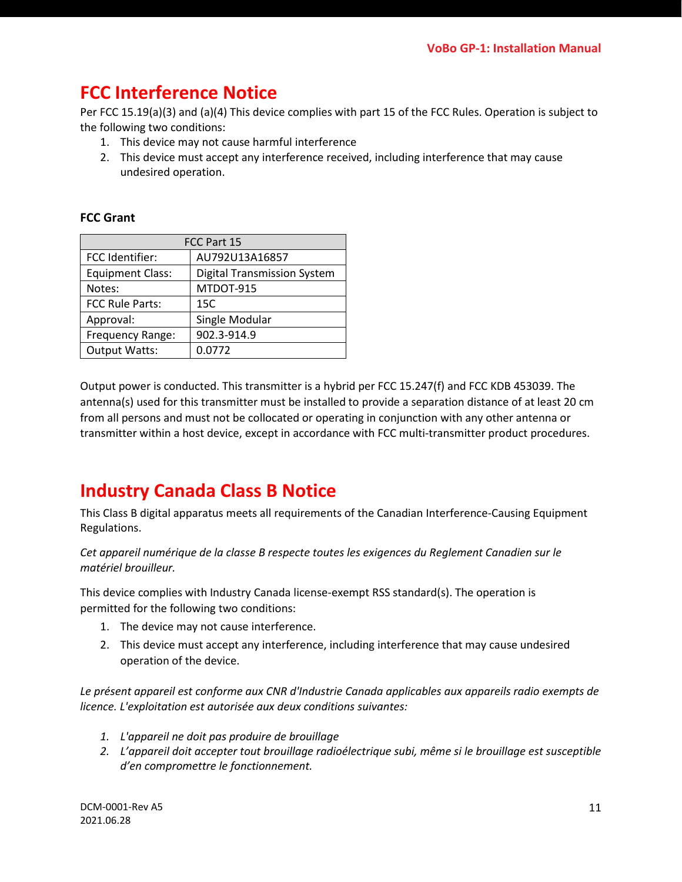## <span id="page-10-0"></span>**FCC Interference Notice**

Per FCC 15.19(a)(3) and (a)(4) This device complies with part 15 of the FCC Rules. Operation is subject to the following two conditions:

- 1. This device may not cause harmful interference
- 2. This device must accept any interference received, including interference that may cause undesired operation.

#### <span id="page-10-1"></span>**FCC Grant**

| FCC Part 15             |                                    |  |  |  |  |
|-------------------------|------------------------------------|--|--|--|--|
| FCC Identifier:         | AU792U13A16857                     |  |  |  |  |
| <b>Equipment Class:</b> | <b>Digital Transmission System</b> |  |  |  |  |
| Notes:                  | MTDOT-915                          |  |  |  |  |
| <b>FCC Rule Parts:</b>  | 15C                                |  |  |  |  |
| Approval:               | Single Modular                     |  |  |  |  |
| Frequency Range:        | 902.3-914.9                        |  |  |  |  |
| <b>Output Watts:</b>    | 0.0772                             |  |  |  |  |

Output power is conducted. This transmitter is a hybrid per FCC 15.247(f) and FCC KDB 453039. The antenna(s) used for this transmitter must be installed to provide a separation distance of at least 20 cm from all persons and must not be collocated or operating in conjunction with any other antenna or transmitter within a host device, except in accordance with FCC multi-transmitter product procedures.

## <span id="page-10-2"></span>**Industry Canada Class B Notice**

This Class B digital apparatus meets all requirements of the Canadian Interference-Causing Equipment Regulations.

*Cet appareil numérique de la classe B respecte toutes les exigences du Reglement Canadien sur le matériel brouilleur.*

This device complies with Industry Canada license-exempt RSS standard(s). The operation is permitted for the following two conditions:

- 1. The device may not cause interference.
- 2. This device must accept any interference, including interference that may cause undesired operation of the device.

*Le présent appareil est conforme aux CNR d'Industrie Canada applicables aux appareils radio exempts de licence. L'exploitation est autorisée aux deux conditions suivantes:*

- *1. L'appareil ne doit pas produire de brouillage*
- *2. L'appareil doit accepter tout brouillage radioélectrique subi, même si le brouillage est susceptible d'en compromettre le fonctionnement.*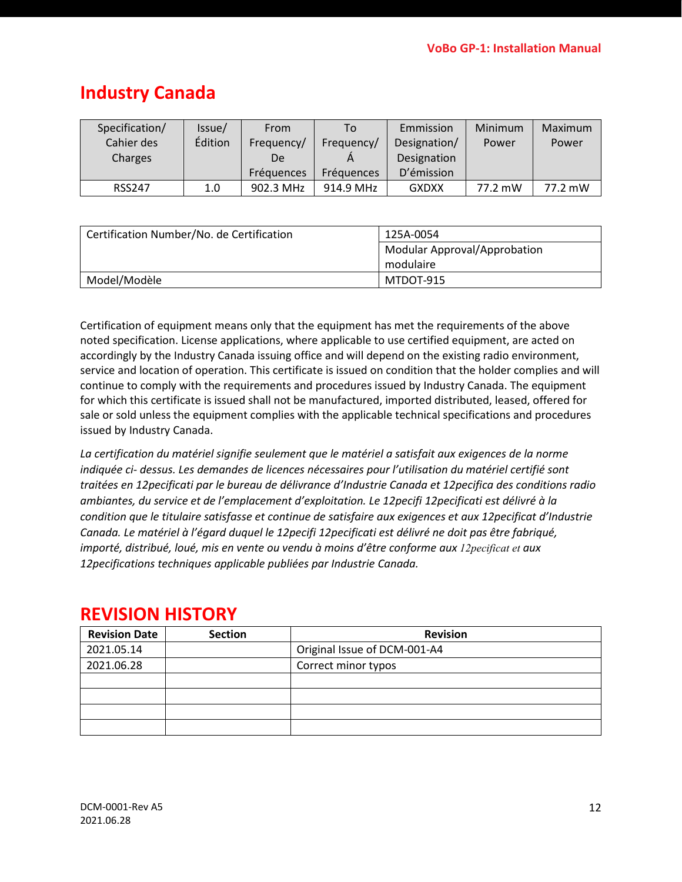## <span id="page-11-0"></span>**Industry Canada**

| Specification/ | lssue/  | From              | To         | Emmission    | Minimum | Maximum |
|----------------|---------|-------------------|------------|--------------|---------|---------|
| Cahier des     | Édition | Frequency/        | Frequency/ | Designation/ | Power   | Power   |
| Charges        |         | De                |            | Designation  |         |         |
|                |         | <b>Fréquences</b> | Fréquences | D'émission   |         |         |
| <b>RSS247</b>  | 1.0     | 902.3 MHz         | 914.9 MHz  | <b>GXDXX</b> | 77.2 mW | 77.2 mW |

| Certification Number/No. de Certification | 125A-0054                           |
|-------------------------------------------|-------------------------------------|
|                                           | <b>Modular Approval/Approbation</b> |
|                                           | modulaire                           |
| Model/Modèle                              | MTDOT-915                           |

Certification of equipment means only that the equipment has met the requirements of the above noted specification. License applications, where applicable to use certified equipment, are acted on accordingly by the Industry Canada issuing office and will depend on the existing radio environment, service and location of operation. This certificate is issued on condition that the holder complies and will continue to comply with the requirements and procedures issued by Industry Canada. The equipment for which this certificate is issued shall not be manufactured, imported distributed, leased, offered for sale or sold unless the equipment complies with the applicable technical specifications and procedures issued by Industry Canada.

*La certification du matériel signifie seulement que le matériel a satisfait aux exigences de la norme indiquée ci- dessus. Les demandes de licences nécessaires pour l'utilisation du matériel certifié sont traitées en 12pecificati par le bureau de délivrance d'Industrie Canada et 12pecifica des conditions radio ambiantes, du service et de l'emplacement d'exploitation. Le 12pecifi 12pecificati est délivré à la condition que le titulaire satisfasse et continue de satisfaire aux exigences et aux 12pecificat d'Industrie Canada. Le matériel à l'égard duquel le 12pecifi 12pecificati est délivré ne doit pas être fabriqué, importé, distribué, loué, mis en vente ou vendu à moins d'être conforme aux 12pecificat et aux 12pecifications techniques applicable publiées par Industrie Canada.*

| <b>Revision Date</b> | <b>Section</b> | <b>Revision</b>              |
|----------------------|----------------|------------------------------|
| 2021.05.14           |                | Original Issue of DCM-001-A4 |
| 2021.06.28           |                | Correct minor typos          |
|                      |                |                              |
|                      |                |                              |
|                      |                |                              |
|                      |                |                              |

## <span id="page-11-1"></span>**REVISION HISTORY**